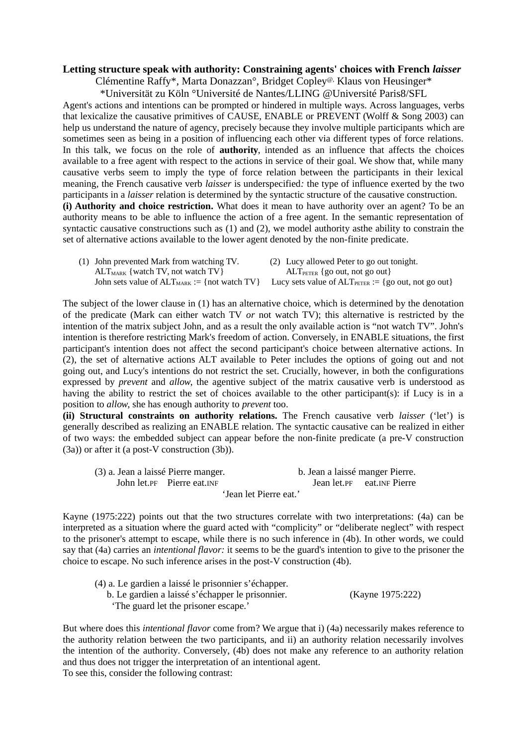## **Letting structure speak with authority: Constraining agents' choices with French** *laisser*

Clémentine Raffy\*, Marta Donazzan°, Bridget Copley@, Klaus von Heusinger\*

\*Universität zu Köln °Université de Nantes/LLING @Université Paris8/SFL Agent's actions and intentions can be prompted or hindered in multiple ways. Across languages, verbs that lexicalize the causative primitives of CAUSE, ENABLE or PREVENT (Wolff & Song 2003) can help us understand the nature of agency, precisely because they involve multiple participants which are sometimes seen as being in a position of influencing each other via different types of force relations. In this talk, we focus on the role of **authority**, intended as an influence that affects the choices available to a free agent with respect to the actions in service of their goal. We show that, while many causative verbs seem to imply the type of force relation between the participants in their lexical meaning, the French causative verb *laisser* is underspecified*:* the type of influence exerted by the two participants in a *laisser* relation is determined by the syntactic structure of the causative construction. **(i) Authority and choice restriction.** What does it mean to have authority over an agent? To be an authority means to be able to influence the action of a free agent. In the semantic representation of syntactic causative constructions such as (1) and (2), we model authority asthe ability to constrain the set of alternative actions available to the lower agent denoted by the non-finite predicate.

| (1) John prevented Mark from watching TV.                                                                                        | (2) Lucy allowed Peter to go out tonight. |
|----------------------------------------------------------------------------------------------------------------------------------|-------------------------------------------|
| $ALT_{MARK}$ { watch TV, not watch TV }                                                                                          | $ALT_{PETER}$ {go out, not go out}        |
| John sets value of $ALT_{MARK} := \{not \text{ watch TV}\}\$ Lucy sets value of $ALT_{PETER} := \{go \text{ out, not go out}\}\$ |                                           |

The subject of the lower clause in (1) has an alternative choice, which is determined by the denotation of the predicate (Mark can either watch TV *or* not watch TV); this alternative is restricted by the intention of the matrix subject John, and as a result the only available action is "not watch TV". John's intention is therefore restricting Mark's freedom of action. Conversely, in ENABLE situations, the first participant's intention does not affect the second participant's choice between alternative actions. In (2), the set of alternative actions ALT available to Peter includes the options of going out and not going out, and Lucy's intentions do not restrict the set. Crucially, however, in both the configurations expressed by *prevent* and *allow*, the agentive subject of the matrix causative verb is understood as having the ability to restrict the set of choices available to the other participant(s): if Lucy is in a position to *allow*, she has enough authority to *prevent* too.

**(ii) Structural constraints on authority relations.** The French causative verb *laisser* ('let') is generally described as realizing an ENABLE relation. The syntactic causative can be realized in either of two ways: the embedded subject can appear before the non-finite predicate (a pre-V construction (3a)) or after it (a post-V construction (3b)).

| (3) a. Jean a laissé Pierre manger. |                              | b. Jean a laissé manger Pierre. |                              |  |  |
|-------------------------------------|------------------------------|---------------------------------|------------------------------|--|--|
|                                     | John let. PF Pierre eat. INF |                                 | Jean let. PF eat. INF Pierre |  |  |
| 'Jean let Pierre eat.'              |                              |                                 |                              |  |  |

Kayne (1975:222) points out that the two structures correlate with two interpretations: (4a) can be interpreted as a situation where the guard acted with "complicity" or "deliberate neglect" with respect to the prisoner's attempt to escape, while there is no such inference in (4b). In other words, we could say that (4a) carries an *intentional flavor:* it seems to be the guard's intention to give to the prisoner the choice to escape. No such inference arises in the post-V construction (4b).

| (4) a. Le gardien a laissé le prisonnier s'échapper. |                  |
|------------------------------------------------------|------------------|
| b. Le gardien a laissé s'échapper le prisonnier.     | (Kayne 1975:222) |
| The guard let the prisoner escape.'                  |                  |

But where does this *intentional flavor* come from? We argue that i) (4a) necessarily makes reference to the authority relation between the two participants, and ii) an authority relation necessarily involves the intention of the authority. Conversely, (4b) does not make any reference to an authority relation and thus does not trigger the interpretation of an intentional agent. To see this, consider the following contrast: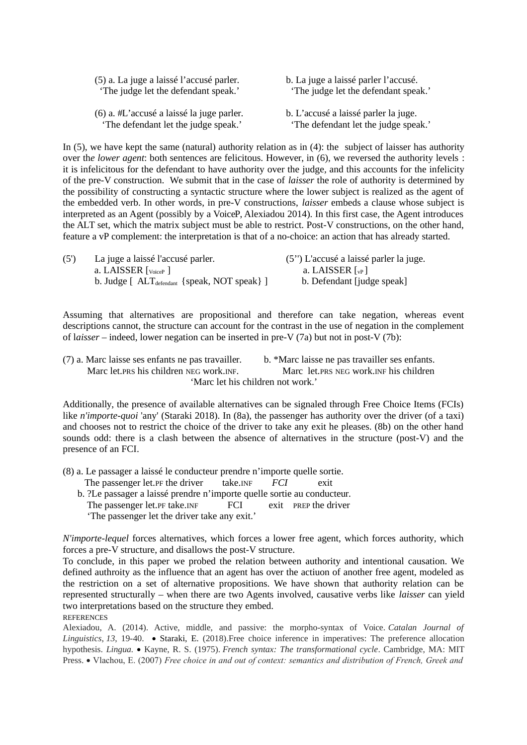| (5) a. La juge a laissé l'accusé parler.  | b. La juge a laissé parler l'accusé. |
|-------------------------------------------|--------------------------------------|
| 'The judge let the defendant speak.'      | 'The judge let the defendant speak.' |
| (6) a. #L'accusé a laissé la juge parler. | b. L'accusé a laissé parler la juge. |
| 'The defendant let the judge speak.'      | 'The defendant let the judge speak.' |

In (5), we have kept the same (natural) authority relation as in (4): the subject of laisser has authority over th*e lower agent*: both sentences are felicitous. However, in (6), we reversed the authority levels : it is infelicitous for the defendant to have authority over the judge*,* and this accounts for the infelicity of the pre-V construction. We submit that in the case of *laisser* the role of authority is determined by the possibility of constructing a syntactic structure where the lower subject is realized as the agent of the embedded verb. In other words, in pre-V constructions, *laisser* embeds a clause whose subject is interpreted as an Agent (possibly by a VoiceP, Alexiadou 2014). In this first case, the Agent introduces the ALT set, which the matrix subject must be able to restrict. Post-V constructions, on the other hand, feature a vP complement: the interpretation is that of a no-choice: an action that has already started.

| (5') | La juge a laissé l'accusé parler.                        | (5'') L'accusé a laissé parler la juge. |
|------|----------------------------------------------------------|-----------------------------------------|
|      | a. LAISSER $\lceil_{\text{VoiceP}}\rceil$                | a. LAISSER $\lceil v_P \rceil$          |
|      | b. Judge $[ALT_{\text{defendant}} \$ {speak, NOT speak}] | b. Defendant [judge speak]              |

Assuming that alternatives are propositional and therefore can take negation, whereas event descriptions cannot, the structure can account for the contrast in the use of negation in the complement of l*aisser* – indeed, lower negation can be inserted in pre-V (7a) but not in post-V (7b):

(7) a. Marc laisse ses enfants ne pas travailler. b. \*Marc laisse ne pas travailler ses enfants. Marc let. PRS his children NEG work. INF. Marc let. PRS NEG work. INF his children 'Marc let his children not work.'

Additionally, the presence of available alternatives can be signaled through Free Choice Items (FCIs) like *n'importe-quoi* 'any' (Staraki 2018). In (8a), the passenger has authority over the driver (of a taxi) and chooses not to restrict the choice of the driver to take any exit he pleases. (8b) on the other hand sounds odd: there is a clash between the absence of alternatives in the structure (post-V) and the presence of an FCI.

(8) a. Le passager a laissé le conducteur prendre n'importe quelle sortie.

The passenger let.PF the driver take.INF *FCI* exit b. ?Le passager a laissé prendre n'importe quelle sortie au conducteur. The passenger let.PF take.INF FCI exit PREP the driver 'The passenger let the driver take any exit.'

*N'importe-lequel* forces alternatives, which forces a lower free agent, which forces authority, which forces a pre-V structure, and disallows the post-V structure.

To conclude, in this paper we probed the relation between authority and intentional causation. We defined authroity as the influence that an agent has over the actiuon of another free agent, modeled as the restriction on a set of alternative propositions. We have shown that authority relation can be represented structurally – when there are two Agents involved, causative verbs like *laisser* can yield two interpretations based on the structure they embed. **REFERENCES** 

Alexiadou, A. (2014). Active, middle, and passive: the morpho-syntax of Voice. *Catalan Journal of Linguistics*, 13, 19-40. • Staraki, E. (2018). Free choice inference in imperatives: The preference allocation hypothesis. *Lingua.* • Kayne, R. S. (1975). *French syntax: The transformational cycle*. Cambridge, MA: MIT Press. Vlachou, E. (2007) *Free choice in and out of context: semantics and distribution of French, Greek and*